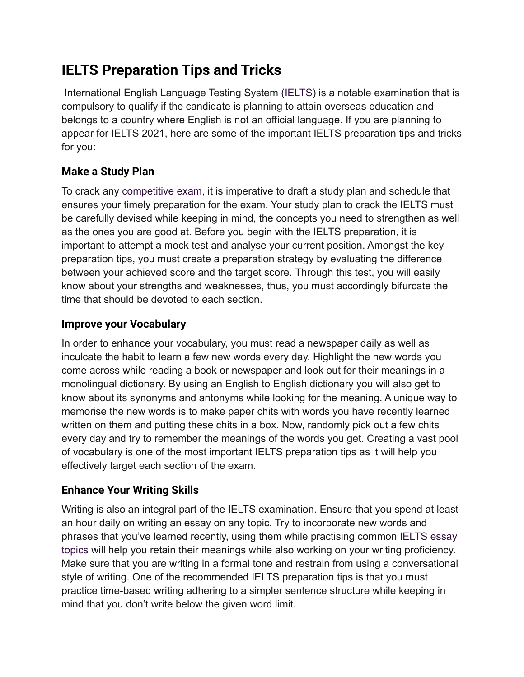## **IELTS Preparation Tips and Tricks**

International English Language Testing System ([IELTS](https://leverageedu.com/blog/IELTS/)) is a notable examination that is compulsory to qualify if the candidate is planning to attain overseas education and belongs to a country where English is not an official language. If you are planning to appear for IELTS 2021, here are some of the important IELTS preparation tips and tricks for you:

### **Make a Study Plan**

To crack any [competitive exam](https://leverageedu.com/blog/competitive-exam/), it is imperative to draft a study plan and schedule that ensures your timely preparation for the exam. Your study plan to crack the IELTS must be carefully devised while keeping in mind, the concepts you need to strengthen as well as the ones you are good at. Before you begin with the IELTS preparation, it is important to attempt a mock test and analyse your current position. Amongst the key preparation tips, you must create a preparation strategy by evaluating the difference between your achieved score and the target score. Through this test, you will easily know about your strengths and weaknesses, thus, you must accordingly bifurcate the time that should be devoted to each section.

### **Improve your Vocabulary**

In order to enhance your vocabulary, you must read a newspaper daily as well as inculcate the habit to learn a few new words every day. Highlight the new words you come across while reading a book or newspaper and look out for their meanings in a monolingual dictionary. By using an English to English dictionary you will also get to know about its synonyms and antonyms while looking for the meaning. A unique way to memorise the new words is to make paper chits with words you have recently learned written on them and putting these chits in a box. Now, randomly pick out a few chits every day and try to remember the meanings of the words you get. Creating a vast pool of vocabulary is one of the most important IELTS preparation tips as it will help you effectively target each section of the exam.

### **Enhance Your Writing Skills**

Writing is also an integral part of the IELTS examination. Ensure that you spend at least an hour daily on writing an essay on any topic. Try to incorporate new words and phrases that you've learned recently, using them while practising common [IELTS essay](https://leverageedu.com/blog/ielts-essay-topics/) [topics](https://leverageedu.com/blog/ielts-essay-topics/) will help you retain their meanings while also working on your writing proficiency. Make sure that you are writing in a formal tone and restrain from using a conversational style of writing. One of the recommended IELTS preparation tips is that you must practice time-based writing adhering to a simpler sentence structure while keeping in mind that you don't write below the given word limit.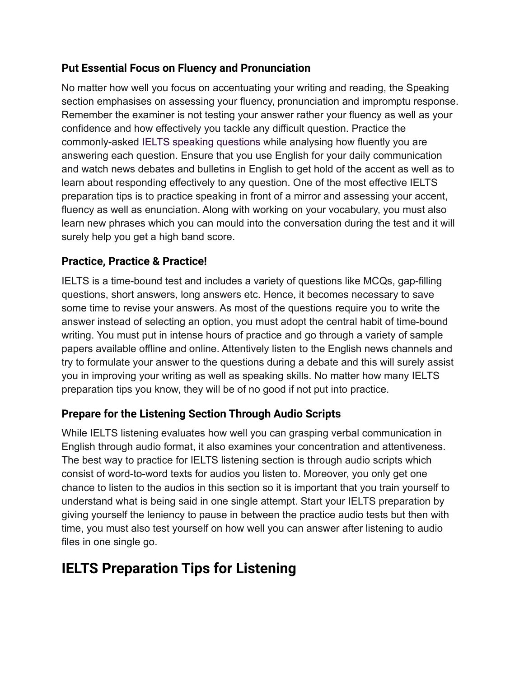### **Put Essential Focus on Fluency and Pronunciation**

No matter how well you focus on accentuating your writing and reading, the Speaking section emphasises on assessing your fluency, pronunciation and impromptu response. Remember the examiner is not testing your answer rather your fluency as well as your confidence and how effectively you tackle any difficult question. Practice the commonly-asked [IELTS speaking questions](https://leverageedu.com/blog/ielts-speaking-questions/) while analysing how fluently you are answering each question. Ensure that you use English for your daily communication and watch news debates and bulletins in English to get hold of the accent as well as to learn about responding effectively to any question. One of the most effective IELTS preparation tips is to practice speaking in front of a mirror and assessing your accent, fluency as well as enunciation. Along with working on your vocabulary, you must also learn new phrases which you can mould into the conversation during the test and it will surely help you get a high band score.

#### **Practice, Practice & Practice!**

IELTS is a time-bound test and includes a variety of questions like MCQs, gap-filling questions, short answers, long answers etc. Hence, it becomes necessary to save some time to revise your answers. As most of the questions require you to write the answer instead of selecting an option, you must adopt the central habit of time-bound writing. You must put in intense hours of practice and go through a variety of sample papers available offline and online. Attentively listen to the English news channels and try to formulate your answer to the questions during a debate and this will surely assist you in improving your writing as well as speaking skills. No matter how many IELTS preparation tips you know, they will be of no good if not put into practice.

### **Prepare for the Listening Section Through Audio Scripts**

While IELTS listening evaluates how well you can grasping verbal communication in English through audio format, it also examines your concentration and attentiveness. The best way to practice for IELTS listening section is through audio scripts which consist of word-to-word texts for audios you listen to. Moreover, you only get one chance to listen to the audios in this section so it is important that you train yourself to understand what is being said in one single attempt. Start your IELTS preparation by giving yourself the leniency to pause in between the practice audio tests but then with time, you must also test yourself on how well you can answer after listening to audio files in one single go.

### **IELTS Preparation Tips for Listening**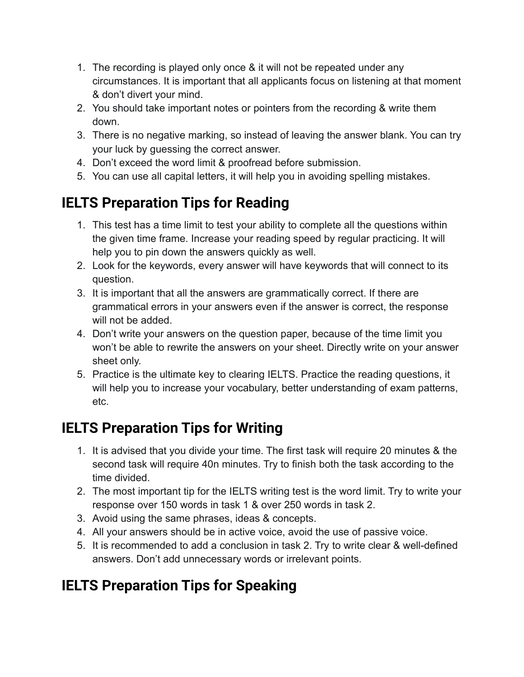- 1. The recording is played only once & it will not be repeated under any circumstances. It is important that all applicants focus on listening at that moment & don't divert your mind.
- 2. You should take important notes or pointers from the recording & write them down.
- 3. There is no negative marking, so instead of leaving the answer blank. You can try your luck by guessing the correct answer.
- 4. Don't exceed the word limit & proofread before submission.
- 5. You can use all capital letters, it will help you in avoiding spelling mistakes.

# **IELTS Preparation Tips for Reading**

- 1. This test has a time limit to test your ability to complete all the questions within the given time frame. Increase your reading speed by regular practicing. It will help you to pin down the answers quickly as well.
- 2. Look for the keywords, every answer will have keywords that will connect to its question.
- 3. It is important that all the answers are grammatically correct. If there are grammatical errors in your answers even if the answer is correct, the response will not be added.
- 4. Don't write your answers on the question paper, because of the time limit you won't be able to rewrite the answers on your sheet. Directly write on your answer sheet only.
- 5. Practice is the ultimate key to clearing IELTS. Practice the reading questions, it will help you to increase your vocabulary, better understanding of exam patterns, etc.

# **IELTS Preparation Tips for Writing**

- 1. It is advised that you divide your time. The first task will require 20 minutes & the second task will require 40n minutes. Try to finish both the task according to the time divided.
- 2. The most important tip for the IELTS writing test is the word limit. Try to write your response over 150 words in task 1 & over 250 words in task 2.
- 3. Avoid using the same phrases, ideas & concepts.
- 4. All your answers should be in active voice, avoid the use of passive voice.
- 5. It is recommended to add a conclusion in task 2. Try to write clear & well-defined answers. Don't add unnecessary words or irrelevant points.

# **IELTS Preparation Tips for Speaking**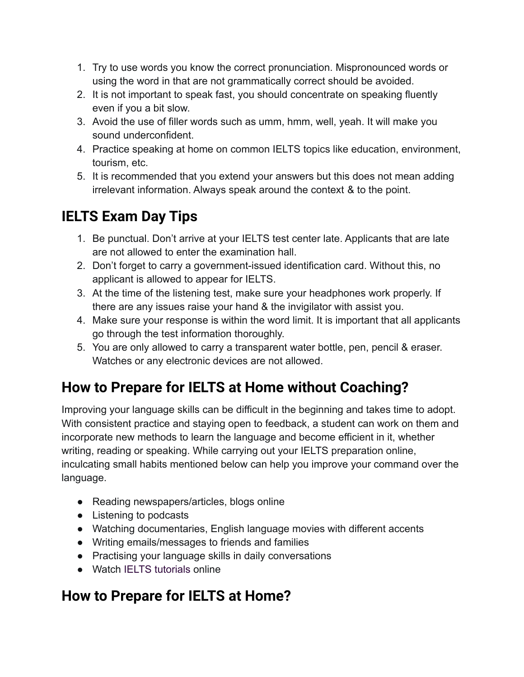- 1. Try to use words you know the correct pronunciation. Mispronounced words or using the word in that are not grammatically correct should be avoided.
- 2. It is not important to speak fast, you should concentrate on speaking fluently even if you a bit slow.
- 3. Avoid the use of filler words such as umm, hmm, well, yeah. It will make you sound underconfident.
- 4. Practice speaking at home on common IELTS topics like education, environment, tourism, etc.
- 5. It is recommended that you extend your answers but this does not mean adding irrelevant information. Always speak around the context & to the point.

# **IELTS Exam Day Tips**

- 1. Be punctual. Don't arrive at your IELTS test center late. Applicants that are late are not allowed to enter the examination hall.
- 2. Don't forget to carry a government-issued identification card. Without this, no applicant is allowed to appear for IELTS.
- 3. At the time of the listening test, make sure your headphones work properly. If there are any issues raise your hand & the invigilator with assist you.
- 4. Make sure your response is within the word limit. It is important that all applicants go through the test information thoroughly.
- 5. You are only allowed to carry a transparent water bottle, pen, pencil & eraser. Watches or any electronic devices are not allowed.

## **How to Prepare for IELTS at Home without Coaching?**

Improving your language skills can be difficult in the beginning and takes time to adopt. With consistent practice and staying open to feedback, a student can work on them and incorporate new methods to learn the language and become efficient in it, whether writing, reading or speaking. While carrying out your IELTS preparation online, inculcating small habits mentioned below can help you improve your command over the language.

- Reading newspapers/articles, blogs online
- Listening to podcasts
- Watching documentaries, English language movies with different accents
- Writing emails/messages to friends and families
- Practising your language skills in daily conversations
- Watch [IELTS tutorials](https://www.youtube.com/channel/UCGn54Lhkb_CjGMwA8HEzgTg) online

## **How to Prepare for IELTS at Home?**